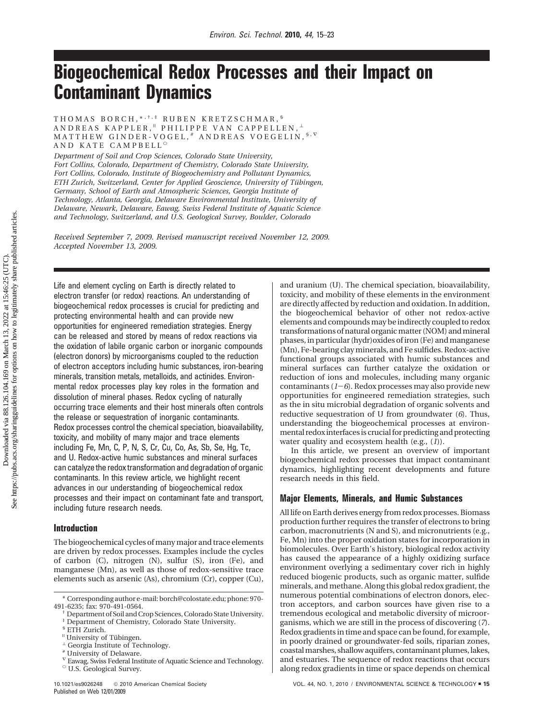# **Biogeochemical Redox Processes and their Impact on Contaminant Dynamics**

THOMAS BORCH,\* ,†,‡ RUBEN KRETZSCHMAR, § ANDREAS KAPPLER,<sup>"</sup> PHILIPPE VAN CAPPELLEN,  $^{\perp}$ MATTHEW GINDER-VOGEL, # ANDREAS VOEGELIN, \$, V AND KATE CAMPBELL<sup>C</sup>

*Department of Soil and Crop Sciences, Colorado State University, Fort Collins, Colorado, Department of Chemistry, Colorado State University, Fort Collins, Colorado, Institute of Biogeochemistry and Pollutant Dynamics, ETH Zurich, Switzerland, Center for Applied Geoscience, University of Tübingen, Germany, School of Earth and Atmospheric Sciences, Georgia Institute of Technology, Atlanta, Georgia, Delaware Environmental Institute, University of Delaware, Newark, Delaware, Eawag, Swiss Federal Institute of Aquatic Science and Technology, Switzerland, and U.S. Geological Survey, Boulder, Colorado*

*Received September 7, 2009. Revised manuscript received November 12, 2009. Accepted November 13, 2009.*

Life and element cycling on Earth is directly related to electron transfer (or redox) reactions. An understanding of biogeochemical redox processes is crucial for predicting and protecting environmental health and can provide new opportunities for engineered remediation strategies. Energy can be released and stored by means of redox reactions via the oxidation of labile organic carbon or inorganic compounds (electron donors) by microorganisms coupled to the reduction of electron acceptors including humic substances, iron-bearing minerals, transition metals, metalloids, and actinides. Environmental redox processes play key roles in the formation and dissolution of mineral phases. Redox cycling of naturally occurring trace elements and their host minerals often controls the release or sequestration of inorganic contaminants. Redox processes control the chemical speciation, bioavailability, toxicity, and mobility of many major and trace elements including Fe, Mn, C, P, N, S, Cr, Cu, Co, As, Sb, Se, Hg, Tc, and U. Redox-active humic substances and mineral surfaces can catalyze the redox transformation and degradation of organic contaminants. In this review article, we highlight recent advances in our understanding of biogeochemical redox processes and their impact on contaminant fate and transport, including future research needs.

## **Introduction**

The biogeochemical cycles of many major and trace elements are driven by redox processes. Examples include the cycles of carbon (C), nitrogen (N), sulfur (S), iron (Fe), and manganese (Mn), as well as those of redox-sensitive trace elements such as arsenic (As), chromium (Cr), copper (Cu),

and uranium (U). The chemical speciation, bioavailability, toxicity, and mobility of these elements in the environment are directly affected by reduction and oxidation. In addition, the biogeochemical behavior of other not redox-active elements and compounds may be indirectly coupled to redox transformations of natural organic matter (NOM) and mineral phases, in particular (hydr)oxides of iron (Fe) and manganese (Mn), Fe-bearing clay minerals, and Fe sulfides. Redox-active functional groups associated with humic substances and mineral surfaces can further catalyze the oxidation or reduction of ions and molecules, including many organic contaminants (*1*-*6*). Redox processes may also provide new opportunities for engineered remediation strategies, such as the in situ microbial degradation of organic solvents and reductive sequestration of U from groundwater (*6*). Thus, understanding the biogeochemical processes at environmental redox interfaces is crucial for predicting and protecting water quality and ecosystem health (e.g., (*1*)).

In this article, we present an overview of important biogeochemical redox processes that impact contaminant dynamics, highlighting recent developments and future research needs in this field.

# **Major Elements, Minerals, and Humic Substances**

All life on Earth derives energy from redox processes. Biomass production further requires the transfer of electrons to bring carbon, macronutrients (N and S), and micronutrients (e.g., Fe, Mn) into the proper oxidation states for incorporation in biomolecules. Over Earth's history, biological redox activity has caused the appearance of a highly oxidizing surface environment overlying a sedimentary cover rich in highly reduced biogenic products, such as organic matter, sulfide minerals, and methane. Along this global redox gradient, the numerous potential combinations of electron donors, electron acceptors, and carbon sources have given rise to a tremendous ecological and metabolic diversity of microorganisms, which we are still in the process of discovering (*7*). Redox gradients in time and space can be found, for example, in poorly drained or groundwater-fed soils, riparian zones, coastal marshes, shallow aquifers, contaminant plumes, lakes, and estuaries. The sequence of redox reactions that occurs along redox gradients in time or space depends on chemical

<sup>\*</sup> Corresponding author e-mail: borch@colostate.edu; phone: 970-

<sup>491-6235;</sup> fax: 970-491-0564. † Department of Soil and Crop Sciences, Colorado State University.

Department of Chemistry, Colorado State University.

<sup>§</sup> ETH Zurich.

 $^{\perp}$  Georgia Institute of Technology.<br># University of Delaware.

<sup>∇</sup> Eawag, Swiss Federal Institute of Aquatic Science and Technology. <sup>O</sup> U.S. Geological Survey.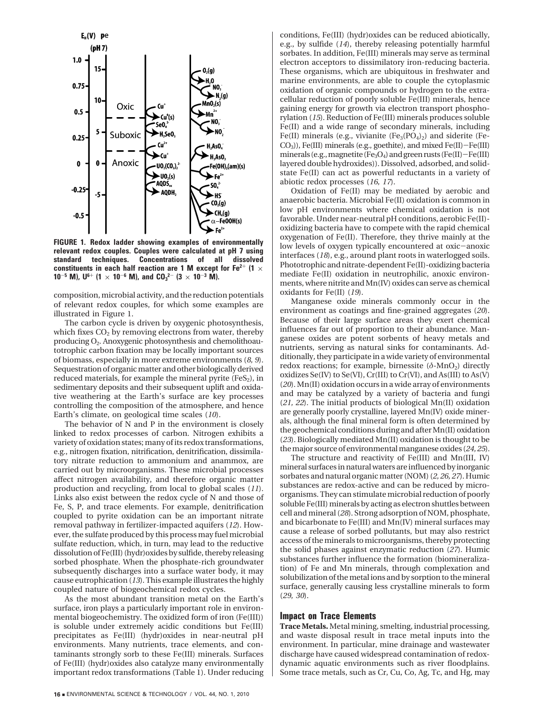

**FIGURE 1. Redox ladder showing examples of environmentally relevant redox couples. Couples were calculated at pH 7 using standard techniques. Concentrations of all dissolved constituents in each half reaction are 1 M except for Fe<sup>2+</sup> (1**  $\times$ **10**<sup>-5</sup> **M**),  $U^{6+}$  (1  $\times$  10<sup>-6</sup> **M**), and  $CO_3^{2-}$  (3  $\times$  10<sup>-3</sup> M).

composition, microbial activity, and the reduction potentials of relevant redox couples, for which some examples are illustrated in Figure 1.

The carbon cycle is driven by oxygenic photosynthesis, which fixes  $CO<sub>2</sub>$  by removing electrons from water, thereby producing O2. Anoxygenic photosynthesis and chemolithoautotrophic carbon fixation may be locally important sources of biomass, especially in more extreme environments (*8, 9*). Sequestration of organic matter and other biologically derived reduced materials, for example the mineral pyrite  $(F \in S_2)$ , in sedimentary deposits and their subsequent uplift and oxidative weathering at the Earth's surface are key processes controlling the composition of the atmosphere, and hence Earth's climate, on geological time scales (*10*).

The behavior of N and P in the environment is closely linked to redox processes of carbon. Nitrogen exhibits a variety of oxidation states; many of its redox transformations, e.g., nitrogen fixation, nitrification, denitrification, dissimilatory nitrate reduction to ammonium and anammox, are carried out by microorganisms. These microbial processes affect nitrogen availability, and therefore organic matter production and recycling, from local to global scales (*11*). Links also exist between the redox cycle of N and those of Fe, S, P, and trace elements. For example, denitrification coupled to pyrite oxidation can be an important nitrate removal pathway in fertilizer-impacted aquifers (*12*). However, the sulfate produced by this process may fuel microbial sulfate reduction, which, in turn, may lead to the reductive dissolution of Fe(III) (hydr)oxides by sulfide, thereby releasing sorbed phosphate. When the phosphate-rich groundwater subsequently discharges into a surface water body, it may cause eutrophication (*13*). This example illustrates the highly coupled nature of biogeochemical redox cycles.

As the most abundant transition metal on the Earth's surface, iron plays a particularly important role in environmental biogeochemistry. The oxidized form of iron (Fe(III)) is soluble under extremely acidic conditions but Fe(III) precipitates as Fe(III) (hydr)oxides in near-neutral pH environments. Many nutrients, trace elements, and contaminants strongly sorb to these Fe(III) minerals. Surfaces of Fe(III) (hydr)oxides also catalyze many environmentally important redox transformations (Table 1). Under reducing

conditions, Fe(III) (hydr)oxides can be reduced abiotically, e.g., by sulfide (*14*), thereby releasing potentially harmful sorbates. In addition, Fe(III) minerals may serve as terminal electron acceptors to dissimilatory iron-reducing bacteria. These organisms, which are ubiquitous in freshwater and marine environments, are able to couple the cytoplasmic oxidation of organic compounds or hydrogen to the extracellular reduction of poorly soluble Fe(III) minerals, hence gaining energy for growth via electron transport phosphorylation (*15*). Reduction of Fe(III) minerals produces soluble Fe(II) and a wide range of secondary minerals, including Fe(II) minerals (e.g., vivianite  $(Fe<sub>3</sub>(PO<sub>4</sub>)<sub>2</sub>)$  and siderite (Fe-CO3)), Fe(III) minerals (e.g., goethite), and mixed Fe(II)-Fe(III) minerals (e.g., magnetite (Fe<sub>3</sub>O<sub>4</sub>) and green rusts (Fe(II) - Fe(III) layered double hydroxides)). Dissolved, adsorbed, and solidstate Fe(II) can act as powerful reductants in a variety of abiotic redox processes (*16, 17*).

Oxidation of Fe(II) may be mediated by aerobic and anaerobic bacteria. Microbial Fe(II) oxidation is common in low pH environments where chemical oxidation is not favorable. Under near-neutral pH conditions, aerobic Fe(II) oxidizing bacteria have to compete with the rapid chemical oxygenation of Fe(II). Therefore, they thrive mainly at the low levels of oxygen typically encountered at oxic-anoxic interfaces (*18*), e.g., around plant roots in waterlogged soils. Phototrophic and nitrate-dependent Fe(II)-oxidizing bacteria mediate Fe(II) oxidation in neutrophilic, anoxic environments, where nitrite and Mn(IV) oxides can serve as chemical oxidants for Fe(II) (*19*).

Manganese oxide minerals commonly occur in the environment as coatings and fine-grained aggregates (*20*). Because of their large surface areas they exert chemical influences far out of proportion to their abundance. Manganese oxides are potent sorbents of heavy metals and nutrients, serving as natural sinks for contaminants. Additionally, they participate in a wide variety of environmental redox reactions; for example, birnessite ( $δ$ -MnO<sub>2</sub>) directly oxidizes Se(IV) to Se(VI), Cr(III) to Cr(VI), and As(III) to As(V) (*20*). Mn(II) oxidation occurs in a wide array of environments and may be catalyzed by a variety of bacteria and fungi (*21, 22*). The initial products of biological Mn(II) oxidation are generally poorly crystalline, layered Mn(IV) oxide minerals, although the final mineral form is often determined by the geochemical conditions during and after Mn(II) oxidation (*23*). Biologically mediated Mn(II) oxidation is thought to be the major source of environmental manganese oxides (*24, 25*).

The structure and reactivity of Fe(III) and Mn(III, IV) mineral surfaces in natural waters are influenced by inorganic sorbates and natural organic matter (NOM) (*2, 26, 27*). Humic substances are redox-active and can be reduced by microorganisms. They can stimulate microbial reduction of poorly soluble Fe(III) minerals by acting as electron shuttles between cell and mineral (*28*). Strong adsorption of NOM, phosphate, and bicarbonate to Fe(III) and Mn(IV) mineral surfaces may cause a release of sorbed pollutants, but may also restrict access of the minerals to microorganisms, thereby protecting the solid phases against enzymatic reduction (*27*). Humic substances further influence the formation (biomineralization) of Fe and Mn minerals, through complexation and solubilization of the metal ions and by sorption to the mineral surface, generally causing less crystalline minerals to form (*29, 30*).

#### **Impact on Trace Elements**

**Trace Metals.** Metal mining, smelting, industrial processing, and waste disposal result in trace metal inputs into the environment. In particular, mine drainage and wastewater discharge have caused widespread contamination of redoxdynamic aquatic environments such as river floodplains. Some trace metals, such as Cr, Cu, Co, Ag, Tc, and Hg, may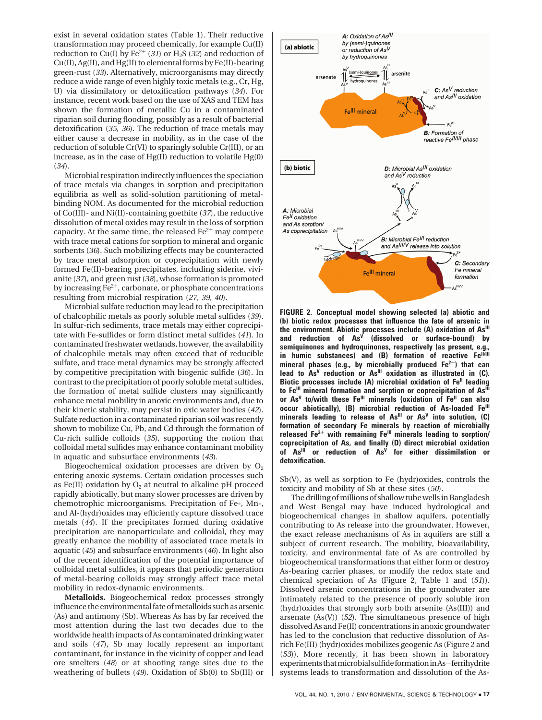exist in several oxidation states (Table 1). Their reductive transformation may proceed chemically, for example Cu(II) reduction to Cu(I) by  $Fe^{2+}$  (31) or H<sub>2</sub>S (32) and reduction of Cu(II), Ag(II), and Hg(II) to elemental forms by Fe(II)-bearing green-rust (*33*). Alternatively, microorganisms may directly reduce a wide range of even highly toxic metals (e.g., Cr, Hg, U) via dissimilatory or detoxification pathways (*34*). For instance, recent work based on the use of XAS and TEM has shown the formation of metallic Cu in a contaminated riparian soil during flooding, possibly as a result of bacterial detoxification (*35, 36*). The reduction of trace metals may either cause a decrease in mobility, as in the case of the reduction of soluble Cr(VI) to sparingly soluble Cr(III), or an increase, as in the case of Hg(II) reduction to volatile Hg(0) (*34*).

Microbial respiration indirectly influences the speciation of trace metals via changes in sorption and precipitation equilibria as well as solid-solution partitioning of metalbinding NOM. As documented for the microbial reduction of Co(III)- and Ni(II)-containing goethite (*37*), the reductive dissolution of metal oxides may result in the loss of sorption capacity. At the same time, the released  $Fe<sup>2+</sup>$  may compete with trace metal cations for sorption to mineral and organic sorbents (*36*). Such mobilizing effects may be counteracted by trace metal adsorption or coprecipitation with newly formed Fe(II)-bearing precipitates, including siderite, vivianite (*37*), and green rust (*38*), whose formation is promoted by increasing  $Fe^{2+}$ , carbonate, or phosphate concentrations resulting from microbial respiration (*27, 39, 40*).

Microbial sulfate reduction may lead to the precipitation of chalcophilic metals as poorly soluble metal sulfides (*39*). In sulfur-rich sediments, trace metals may either coprecipitate with Fe-sulfides or form distinct metal sulfides (*41*). In contaminated freshwater wetlands, however, the availability of chalcophile metals may often exceed that of reducible sulfate, and trace metal dynamics may be strongly affected by competitive precipitation with biogenic sulfide (*36*). In contrast to the precipitation of poorly soluble metal sulfides, the formation of metal sulfide clusters may significantly enhance metal mobility in anoxic environments and, due to their kinetic stability, may persist in oxic water bodies (*42*). Sulfate reduction in a contaminated riparian soil was recently shown to mobilize Cu, Pb, and Cd through the formation of Cu-rich sulfide colloids (*35*), supporting the notion that colloidal metal sulfides may enhance contaminant mobility in aquatic and subsurface environments (*43*).

Biogeochemical oxidation processes are driven by  $O<sub>2</sub>$ entering anoxic systems. Certain oxidation processes such as Fe(II) oxidation by  $O_2$  at neutral to alkaline pH proceed rapidly abiotically, but many slower processes are driven by chemotrophic microorganisms. Precipitation of Fe-, Mn-, and Al-(hydr)oxides may efficiently capture dissolved trace metals (*44*). If the precipitates formed during oxidative precipitation are nanoparticulate and colloidal, they may greatly enhance the mobility of associated trace metals in aquatic (*45*) and subsurface environments (*46*). In light also of the recent identification of the potential importance of colloidal metal sulfides, it appears that periodic generation of metal-bearing colloids may strongly affect trace metal mobility in redox-dynamic environments.

**Metalloids.** Biogeochemical redox processes strongly influence the environmental fate of metalloids such as arsenic (As) and antimony (Sb). Whereas As has by far received the most attention during the last two decades due to the worldwide health impacts of As contaminated drinking water and soils (*47*), Sb may locally represent an important contaminant, for instance in the vicinity of copper and lead ore smelters (*48*) or at shooting range sites due to the weathering of bullets (*49*). Oxidation of Sb(0) to Sb(III) or



**FIGURE 2. Conceptual model showing selected (a) abiotic and (b) biotic redox processes that influence the fate of arsenic in** the environment. Abiotic processes include (A) oxidation of As<sup>III</sup> **and reduction of AsV (dissolved or surface-bound) by semiquinones and hydroquinones, respectively (as present, e.g.,** in humic substances) and (B) formation of reactive Fe<sup>II/III</sup> **mineral phases (e.g., by microbially produced Fe2**+**) that can** lead to As<sup>V</sup> reduction or As<sup>III</sup> oxidation as illustrated in (C). **Biotic processes include (A) microbial oxidation of Fe<sup>II</sup> leading** to Fe<sup>III</sup> mineral formation and sorption or coprecipitation of As<sup>III</sup> **or AsV to/with these FeIII minerals (oxidation of FeII can also occur abiotically), (B) microbial reduction of As-loaded Fe<sup>III</sup>** minerals leading to release of As<sup>III</sup> or As<sup>V</sup> into solution, (C) **formation of secondary Fe minerals by reaction of microbially** released Fe<sup>2+</sup> with remaining Fe<sup>III</sup> minerals leading to sorption/ **coprecipitation of As, and finally (D) direct microbial oxidation of AsIII or reduction of AsV for either dissimilation or detoxification.**

Sb(V), as well as sorption to Fe (hydr)oxides, controls the toxicity and mobility of Sb at these sites (*50*).

The drilling of millions of shallow tube wells in Bangladesh and West Bengal may have induced hydrological and biogeochemical changes in shallow aquifers, potentially contributing to As release into the groundwater. However, the exact release mechanisms of As in aquifers are still a subject of current research. The mobility, bioavailability, toxicity, and environmental fate of As are controlled by biogeochemical transformations that either form or destroy As-bearing carrier phases, or modify the redox state and chemical speciation of As (Figure 2, Table 1 and (*51*)). Dissolved arsenic concentrations in the groundwater are intimately related to the presence of poorly soluble iron (hydr)oxides that strongly sorb both arsenite (As(III)) and arsenate (As(V)) (*52*). The simultaneous presence of high dissolved As and Fe(II) concentrations in anoxic groundwater has led to the conclusion that reductive dissolution of Asrich Fe(III) (hydr)oxides mobilizes geogenic As (Figure 2 and (*53*)). More recently, it has been shown in laboratory experiments that microbial sulfide formation in As-ferrihydrite systems leads to transformation and dissolution of the As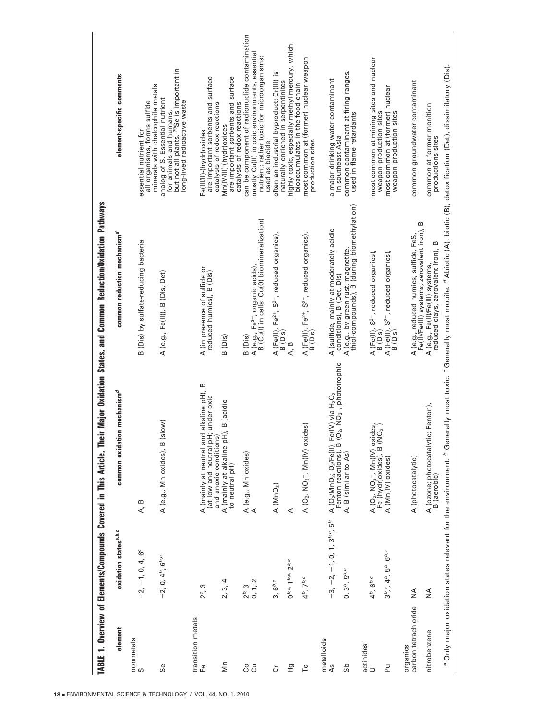TABLE 1. Overview of Elements/Compounds Covered in This Article, Their Major Oxidation States, and Common Reduction/Oxidation Pathways TABLE 1. Overview of Elements/Compounds Covered in This Article, Their Major Oxidation States, and Common Reduction/Oxidation Pathways

| element                          | oxidation states <sup>a,b,c</sup>                                      | common oxidation mechanism <sup>d</sup>                                                                                                                                                  | common reduction mechanism <sup>d</sup>                                                                                                                   | element-specific comments                                                                                                                                                                                  |
|----------------------------------|------------------------------------------------------------------------|------------------------------------------------------------------------------------------------------------------------------------------------------------------------------------------|-----------------------------------------------------------------------------------------------------------------------------------------------------------|------------------------------------------------------------------------------------------------------------------------------------------------------------------------------------------------------------|
| nonmetals<br>S                   | $-2, -1, 0, 4, 6^{\circ}$                                              | A, B                                                                                                                                                                                     | B (Dis) by sulfate-reducing bacteria                                                                                                                      | essential nutrient for                                                                                                                                                                                     |
| Se                               | $-2, 0, 4^b, 6^{b,c}$                                                  | $(s \mid o \mid w)$<br>A (e.g., Mn oxides), B                                                                                                                                            | A (e.g., Fe(II)), B (Dis, Det)                                                                                                                            | but not all plants. 79Se is important in<br>all organisms, forms sulfide<br>minerals with chalcophile metals<br>analog of S. Essential nutrient<br>long-lived radioactive waste<br>for animals and humans, |
| transition metals<br>Μn<br>டீ    | 2, 3, 4<br>ო<br>$2^c$ ,                                                | A (mainly at neutral and alkaline pH), B<br>(at low and neutral pH; under oxic<br>A (mainly at alkaline pH), B (acidic<br>and anoxic conditions)<br>to neutral pH)                       | A (in presence of sulfide or<br>reduced humics), B (Dis)<br>B (Dis)                                                                                       | are important sorbents and surface<br>are important sorbents and surface<br>catalysts of redox reactions<br>Vin(IV/III)-(hydr)oxides<br>Fe(III/II)-(hydr)oxides                                            |
| 8J                               | 0, 1, 2<br>$2b$ , 3                                                    | A (e.g., Mn oxides)<br>A                                                                                                                                                                 | A (e.g., Fe <sup>2+</sup> , organic acids),<br>B (Cu(l) in cells, Cu(0) biomineralization)<br>B (Dis)                                                     | can be component of radionuclide contamination<br>mostly Cu(II) in oxic environments, essential<br>nutrient; rather toxic for microorganisms;<br>catalysts of redox reactions                              |
| Ğ                                | $3,6^{b,c}$                                                            | A (MnO <sub>2</sub> )                                                                                                                                                                    | A (Fe(II), Fe <sup>2+</sup> , S <sup>2-</sup> , reduced organics),<br>B (Dis)                                                                             | often an industrial byproduct; Cr(III) is<br>naturally enriched in serpentinites<br>used as biocide                                                                                                        |
| 문                                | $0^{b,c}$ , $1^{b,c}$ , $2^{b,c}$                                      | ⋖                                                                                                                                                                                        | A, B                                                                                                                                                      | highly toxic, especially methyl mercury, which<br>bioaccumulates in the food chain                                                                                                                         |
| ٢c                               | $4^b$ , $7^{b,c}$                                                      | A ( $O_2$ , N $O_3^-$ , Mn(IV) oxides)                                                                                                                                                   | A (Fe(II), Fe $^{2+}$ , S <sup>2-</sup> , reduced organics),<br>B (Dis)                                                                                   | most common at (former) nuclear weapon<br>production sites                                                                                                                                                 |
| metalloids<br>As<br>9S           | $-3, -2, -1, 0, 1, 3b,c, 5b$<br>0, 3 <sup>b</sup> , 5 <sup>b,c</sup>   | Fe(IV) via H <sub>2</sub> O <sub>2</sub><br>(O <sub>2</sub> , NO <sub>3</sub> <sup>-</sup> , phototrophic<br>$A (O_2/MnO_2; O_2/Fe(II);$<br>Fenton reactions), B<br>A, B (similar to As) | A (e.g., by green rust, magnetite,<br>thiol-compounds), B (during biomethylation)<br>A (sulfide, mainly at moderately acidic<br>conditions), B (Det, Dis) | common contaminant at firing ranges,<br>used in flame retardants<br>a major drinking water contaminant<br>in southeast Asia                                                                                |
| actinides<br>ΡJ<br>$\Box$        | $3^{b}$ , $4^{b}$ , $5^{b}$ , $6^{b,c}$<br>$4^b$ , $6^{b,c}$           | A (O <sub>2</sub> , NO <sub>3</sub> -, Mn(IV) oxides,<br>Fe (hydr)oxides), B (NO <sub>3</sub> -)<br>A (Mn(IV) oxides)                                                                    | A (Fe(II), S <sup>2-</sup> , reduced organics),<br>A (Fe(II), S <sup>2-</sup> , reduced organics),<br>B (Dis)                                             | most common at mining sites and nuclear<br>most common at (former) nuclear<br>weapon production sites                                                                                                      |
| carbon tetrachloride<br>organics | ≸                                                                      | A (photocatalytic)                                                                                                                                                                       | A (e.g., reduced humics, sulfide, FeS,<br>Fe(II)/Fe(III) systems, zerovalent iron),<br>B (Dis)                                                            | common groundwater contaminant<br>weapon production sites                                                                                                                                                  |
| nitrobenzene                     | $\frac{4}{2}$                                                          | A (ozone; photocatalytic; Fenton),<br>B (aerobic)                                                                                                                                        | m<br>reduced clays, zerovalent iron), B<br>A (e.g., Fe(II)/Fe(III) systems,                                                                               | common at former monition<br>productions sites                                                                                                                                                             |
|                                  | <sup>a</sup> Only major oxidation states relevant for the environment. | <sup>b</sup> Generally most toxic.                                                                                                                                                       | <sup>c</sup> Generally most mobile. <sup>d</sup> Abiotic (A), biotic (B), detoxification (Det), dissimilatory (Dis).                                      |                                                                                                                                                                                                            |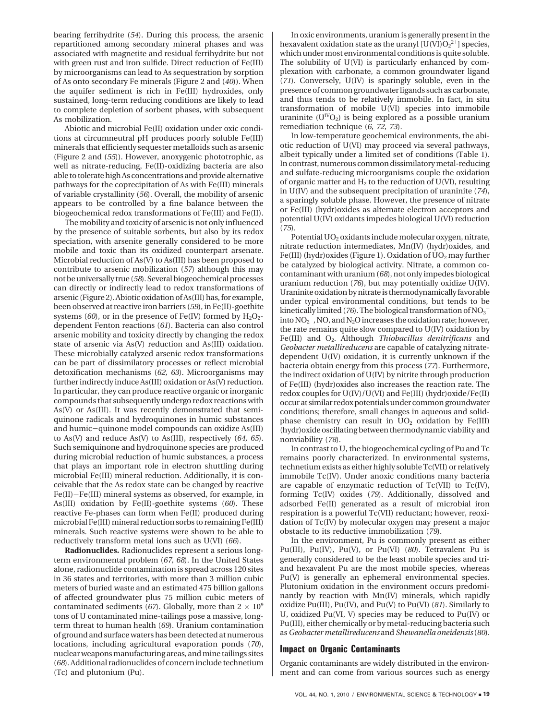bearing ferrihydrite (*54*). During this process, the arsenic repartitioned among secondary mineral phases and was associated with magnetite and residual ferrihydrite but not with green rust and iron sulfide. Direct reduction of Fe(III) by microorganisms can lead to As sequestration by sorption of As onto secondary Fe minerals (Figure 2 and (*40*)). When the aquifer sediment is rich in Fe(III) hydroxides, only sustained, long-term reducing conditions are likely to lead to complete depletion of sorbent phases, with subsequent As mobilization.

Abiotic and microbial Fe(II) oxidation under oxic conditions at circumneutral pH produces poorly soluble Fe(III) minerals that efficiently sequester metalloids such as arsenic (Figure 2 and (*55*)). However, anoxygenic phototrophic, as well as nitrate-reducing, Fe(II)-oxidizing bacteria are also able to tolerate high As concentrations and provide alternative pathways for the coprecipitation of As with Fe(III) minerals of variable crystallinity (*56*). Overall, the mobility of arsenic appears to be controlled by a fine balance between the biogeochemical redox transformations of Fe(III) and Fe(II).

The mobility and toxicity of arsenic is not only influenced by the presence of suitable sorbents, but also by its redox speciation, with arsenite generally considered to be more mobile and toxic than its oxidized counterpart arsenate. Microbial reduction of As(V) to As(III) has been proposed to contribute to arsenic mobilization (*57*) although this may not be universally true (*58*). Several biogeochemical processes can directly or indirectly lead to redox transformations of arsenic (Figure 2). Abiotic oxidation of As(III) has, for example, been observed at reactive iron barriers (*59*), in Fe(II)-goethite systems ( $60$ ), or in the presence of Fe(IV) formed by  $H_2O_2$ dependent Fenton reactions (*61*). Bacteria can also control arsenic mobility and toxicity directly by changing the redox state of arsenic via As(V) reduction and As(III) oxidation. These microbially catalyzed arsenic redox transformations can be part of dissimilatory processes or reflect microbial detoxification mechanisms (*62, 63*). Microorganisms may further indirectly induce As(III) oxidation or As(V) reduction. In particular, they can produce reactive organic or inorganic compounds that subsequently undergo redox reactions with As(V) or As(III). It was recently demonstrated that semiquinone radicals and hydroquinones in humic substances and humic-quinone model compounds can oxidize As(III) to As(V) and reduce As(V) to As(III), respectively (*64, 65*). Such semiquinone and hydroquinone species are produced during microbial reduction of humic substances, a process that plays an important role in electron shuttling during microbial Fe(III) mineral reduction. Additionally, it is conceivable that the As redox state can be changed by reactive Fe(II)-Fe(III) mineral systems as observed, for example, in As(III) oxidation by Fe(II)-goethite systems (*60*). These reactive Fe-phases can form when Fe(II) produced during microbial Fe(III) mineral reduction sorbs to remaining Fe(III) minerals. Such reactive systems were shown to be able to reductively transform metal ions such as U(VI) (*66*).

**Radionuclides.** Radionuclides represent a serious longterm environmental problem (*67, 68*). In the United States alone, radionuclide contamination is spread across 120 sites in 36 states and territories, with more than 3 million cubic meters of buried waste and an estimated 475 billion gallons of affected groundwater plus 75 million cubic meters of contaminated sediments (67). Globally, more than  $2 \times 10^9$ tons of U contaminated mine-tailings pose a massive, longterm threat to human health (*69*). Uranium contamination of ground and surface waters has been detected at numerous locations, including agricultural evaporation ponds (*70*), nuclear weapons manufacturing areas, and mine tailings sites (*68*). Additional radionuclides of concern include technetium (Tc) and plutonium (Pu).

In oxic environments, uranium is generally present in the hexavalent oxidation state as the uranyl  $[U(VI)O_2^{2+}]$  species, which under most environmental conditions is quite soluble. The solubility of U(VI) is particularly enhanced by complexation with carbonate, a common groundwater ligand (*71*). Conversely, U(IV) is sparingly soluble, even in the presence of common groundwater ligands such as carbonate, and thus tends to be relatively immobile. In fact, in situ transformation of mobile U(VI) species into immobile uraninite  $(U^{IV}O_2)$  is being explored as a possible uranium remediation technique (*6, 72, 73*).

In low-temperature geochemical environments, the abiotic reduction of U(VI) may proceed via several pathways, albeit typically under a limited set of conditions (Table 1). In contrast, numerous common dissimilatory metal-reducing and sulfate-reducing microorganisms couple the oxidation of organic matter and  $H_2$  to the reduction of U(VI), resulting in U(IV) and the subsequent precipitation of uraninite (*74*), a sparingly soluble phase. However, the presence of nitrate or Fe(III) (hydr)oxides as alternate electron acceptors and potential U(IV) oxidants impedes biological U(VI) reduction (*75*).

Potential  $UO<sub>2</sub>$  oxidants include molecular oxygen, nitrate, nitrate reduction intermediates, Mn(IV) (hydr)oxides, and Fe(III) (hydr) oxides (Figure 1). Oxidation of  $UO<sub>2</sub>$  may further be catalyzed by biological activity. Nitrate, a common cocontaminant with uranium (*68*), not only impedes biological uranium reduction (*76*), but may potentially oxidize U(IV). Uraninite oxidation by nitrate is thermodynamically favorable under typical environmental conditions, but tends to be kinetically limited (*76*). The biological transformation of  $\mathrm{NO_3}^$ into  $NO_2^-$ , NO, and  $N_2O$  increases the oxidation rate; however, the rate remains quite slow compared to U(IV) oxidation by Fe(III) and O<sub>2</sub>. Although *Thiobacillus denitrificans* and *Geobacter metallireducens* are capable of catalyzing nitratedependent U(IV) oxidation, it is currently unknown if the bacteria obtain energy from this process (*77*). Furthermore, the indirect oxidation of U(IV) by nitrite through production of Fe(III) (hydr)oxides also increases the reaction rate. The redox couples for U(IV)/U(VI) and Fe(III) (hydr)oxide/Fe(II) occur at similar redox potentials under common groundwater conditions; therefore, small changes in aqueous and solidphase chemistry can result in  $UO<sub>2</sub>$  oxidation by Fe(III) (hydr)oxide oscillating between thermodynamic viability and nonviability (*78*).

In contrast to U, the biogeochemical cycling of Pu and Tc remains poorly characterized. In environmental systems, technetium exists as either highly soluble Tc(VII) or relatively immobile Tc(IV). Under anoxic conditions many bacteria are capable of enzymatic reduction of Tc(VII) to Tc(IV), forming Tc(IV) oxides (*79*). Additionally, dissolved and adsorbed Fe(II) generated as a result of microbial iron respiration is a powerful Tc(VII) reductant; however, reoxidation of Tc(IV) by molecular oxygen may present a major obstacle to its reductive immobilization (*79*).

In the environment, Pu is commonly present as either Pu(III), Pu(IV), Pu(V), or Pu(VI) (*80*). Tetravalent Pu is generally considered to be the least mobile species and triand hexavalent Pu are the most mobile species, whereas Pu(V) is generally an ephemeral environmental species. Plutonium oxidation in the environment occurs predominantly by reaction with Mn(IV) minerals, which rapidly oxidize Pu(III), Pu(IV), and Pu(V) to Pu(VI) (*81*). Similarly to U, oxidized Pu(VI, V) species may be reduced to Pu(IV) or Pu(III), either chemically or by metal-reducing bacteria such as *Geobacter metallireducens* and *Shewanella oneidensis*(*80*).

#### **Impact on Organic Contaminants**

Organic contaminants are widely distributed in the environment and can come from various sources such as energy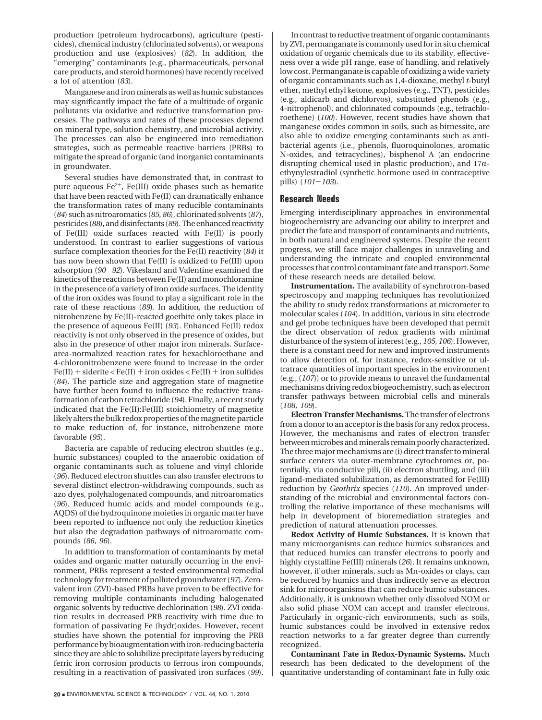production (petroleum hydrocarbons), agriculture (pesticides), chemical industry (chlorinated solvents), or weapons production and use (explosives) (*82*). In addition, the "emerging" contaminants (e.g., pharmaceuticals, personal care products, and steroid hormones) have recently received a lot of attention (*83*).

Manganese and iron minerals as well as humic substances may significantly impact the fate of a multitude of organic pollutants via oxidative and reductive transformation processes. The pathways and rates of these processes depend on mineral type, solution chemistry, and microbial activity. The processes can also be engineered into remediation strategies, such as permeable reactive barriers (PRBs) to mitigate the spread of organic (and inorganic) contaminants in groundwater.

Several studies have demonstrated that, in contrast to pure aqueous  $Fe^{2+}$ , Fe(III) oxide phases such as hematite that have been reacted with Fe(II) can dramatically enhance the transformation rates of many reducible contaminants (*84*) such as nitroaromatics (*85, 86*), chlorinated solvents (*87*), pesticides (*88*), and disinfectants (*89*). The enhanced reactivity of Fe(III) oxide surfaces reacted with Fe(II) is poorly understood. In contrast to earlier suggestions of various surface complexation theories for the Fe(II) reactivity (*84*) it has now been shown that Fe(II) is oxidized to Fe(III) upon adsorption (*90*-*92*). Vikesland and Valentine examined the kinetics of the reactions between Fe(II) and monochloramine in the presence of a variety of iron oxide surfaces. The identity of the iron oxides was found to play a significant role in the rate of these reactions (*89*). In addition, the reduction of nitrobenzene by Fe(II)-reacted goethite only takes place in the presence of aqueous Fe(II) (*93*). Enhanced Fe(II) redox reactivity is not only observed in the presence of oxides, but also in the presence of other major iron minerals. Surfacearea-normalized reaction rates for hexachloroethane and 4-chloronitrobenzene were found to increase in the order  $Fe(II) + siderite < Fe(II) + iron oxides < Fe(II) + iron sulfides$ (*84*). The particle size and aggregation state of magnetite have further been found to influence the reductive transformation of carbon tetrachloride (*94*). Finally, a recent study indicated that the Fe(II):Fe(III) stoichiometry of magnetite likely alters the bulk redox properties of the magnetite particle to make reduction of, for instance, nitrobenzene more favorable (*95*).

Bacteria are capable of reducing electron shuttles (e.g., humic substances) coupled to the anaerobic oxidation of organic contaminants such as toluene and vinyl chloride (*96*). Reduced electron shuttles can also transfer electrons to several distinct electron-withdrawing compounds, such as azo dyes, polyhalogenated compounds, and nitroaromatics (*96*). Reduced humic acids and model compounds (e.g., AQDS) of the hydroquinone moieties in organic matter have been reported to influence not only the reduction kinetics but also the degradation pathways of nitroaromatic compounds (*86, 96*).

In addition to transformation of contaminants by metal oxides and organic matter naturally occurring in the environment, PRBs represent a tested environmental remedial technology for treatment of polluted groundwater (*97*). Zerovalent iron (ZVI)-based PRBs have proven to be effective for removing multiple contaminants including halogenated organic solvents by reductive dechlorination (*98*). ZVI oxidation results in decreased PRB reactivity with time due to formation of passivating Fe (hydr)oxides. However, recent studies have shown the potential for improving the PRB performance by bioaugmentation with iron-reducing bacteria since they are able to solubilize precipitate layers by reducing ferric iron corrosion products to ferrous iron compounds, resulting in a reactivation of passivated iron surfaces (*99*).

In contrast to reductive treatment of organic contaminants by ZVI, permanganate is commonly used for in situ chemical oxidation of organic chemicals due to its stability, effectiveness over a wide pH range, ease of handling, and relatively low cost. Permanganate is capable of oxidizing a wide variety of organic contaminants such as 1,4-dioxane, methyl *t*-butyl ether, methyl ethyl ketone, explosives (e.g., TNT), pesticides (e.g., aldicarb and dichlorvos), substituted phenols (e.g., 4-nitrophenol), and chlorinated compounds (e.g., tetrachloroethene) (*100*). However, recent studies have shown that manganese oxides common in soils, such as birnessite, are also able to oxidize emerging contaminants such as antibacterial agents (i.e., phenols, fluoroquinolones, aromatic N-oxides, and tetracyclines), bisphenol A (an endocrine disrupting chemical used in plastic production), and  $17\alpha$ ethynylestradiol (synthetic hormone used in contraceptive pills) (*101*-*103*).

## **Research Needs**

Emerging interdisciplinary approaches in environmental biogeochemistry are advancing our ability to interpret and predict the fate and transport of contaminants and nutrients, in both natural and engineered systems. Despite the recent progress, we still face major challenges in unraveling and understanding the intricate and coupled environmental processes that control contaminant fate and transport. Some of these research needs are detailed below.

**Instrumentation.** The availability of synchrotron-based spectroscopy and mapping techniques has revolutionized the ability to study redox transformations at micrometer to molecular scales (*104*). In addition, various in situ electrode and gel probe techniques have been developed that permit the direct observation of redox gradients with minimal disturbance of the system of interest (e.g., *105, 106*). However, there is a constant need for new and improved instruments to allow detection of, for instance, redox-sensitive or ultratrace quantities of important species in the environment (e.g., (*107*)) or to provide means to unravel the fundamental mechanisms driving redox biogeochemistry, such as electron transfer pathways between microbial cells and minerals (*108, 109*).

**Electron Transfer Mechanisms.** The transfer of electrons from a donor to an acceptor is the basis for any redox process. However, the mechanisms and rates of electron transfer between microbes and minerals remain poorly characterized. The three major mechanisms are (i) direct transfer to mineral surface centers via outer-membrane cytochromes or, potentially, via conductive pili, (ii) electron shuttling, and (iii) ligand-mediated solubilization, as demonstrated for Fe(III) reduction by *Geothrix* species (*110*). An improved understanding of the microbial and environmental factors controlling the relative importance of these mechanisms will help in development of bioremediation strategies and prediction of natural attenuation processes.

**Redox Activity of Humic Substances.** It is known that many microorganisms can reduce humics substances and that reduced humics can transfer electrons to poorly and highly crystalline Fe(III) minerals (*26*). It remains unknown, however, if other minerals, such as Mn-oxides or clays, can be reduced by humics and thus indirectly serve as electron sink for microorganisms that can reduce humic substances. Additionally, it is unknown whether only dissolved NOM or also solid phase NOM can accept and transfer electrons. Particularly in organic-rich environments, such as soils, humic substances could be involved in extensive redox reaction networks to a far greater degree than currently recognized.

**Contaminant Fate in Redox-Dynamic Systems.** Much research has been dedicated to the development of the quantitative understanding of contaminant fate in fully oxic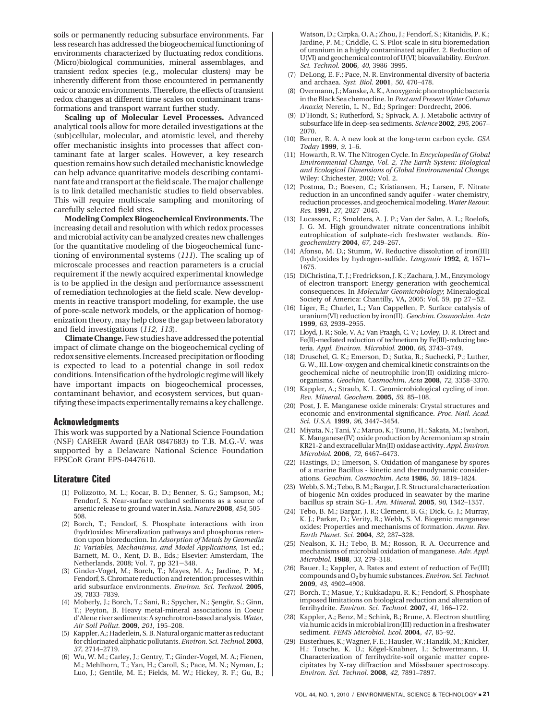soils or permanently reducing subsurface environments. Far less research has addressed the biogeochemical functioning of environments characterized by fluctuating redox conditions. (Micro)biological communities, mineral assemblages, and transient redox species (e.g., molecular clusters) may be inherently different from those encountered in permanently oxic or anoxic environments. Therefore, the effects of transient redox changes at different time scales on contaminant transformations and transport warrant further study.

**Scaling up of Molecular Level Processes.** Advanced analytical tools allow for more detailed investigations at the (sub)cellular, molecular, and atomistic level, and thereby offer mechanistic insights into processes that affect contaminant fate at larger scales. However, a key research question remains how such detailed mechanistic knowledge can help advance quantitative models describing contaminant fate and transport at the field scale. The major challenge is to link detailed mechanistic studies to field observables. This will require multiscale sampling and monitoring of carefully selected field sites.

**Modeling Complex Biogeochemical Environments.** The increasing detail and resolution with which redox processes and microbial activity can be analyzed creates new challenges for the quantitative modeling of the biogeochemical functioning of environmental systems (*111*). The scaling up of microscale processes and reaction parameters is a crucial requirement if the newly acquired experimental knowledge is to be applied in the design and performance assessment of remediation technologies at the field scale. New developments in reactive transport modeling, for example, the use of pore-scale network models, or the application of homogenization theory, may help close the gap between laboratory and field investigations (*112, 113*).

**Climate Change.**Few studies have addressed the potential impact of climate change on the biogeochemical cycling of redox sensitive elements. Increased precipitation or flooding is expected to lead to a potential change in soil redox conditions. Intensification of the hydrologic regime will likely have important impacts on biogeochemical processes, contaminant behavior, and ecosystem services, but quantifying these impacts experimentally remains a key challenge.

#### **Acknowledgments**

This work was supported by a National Science Foundation (NSF) CAREER Award (EAR 0847683) to T.B. M.G.-V. was supported by a Delaware National Science Foundation EPSCoR Grant EPS-0447610.

#### **Literature Cited**

- (1) Polizzotto, M. L.; Kocar, B. D.; Benner, S. G.; Sampson, M.; Fendorf, S. Near-surface wetland sediments as a source of arsenic release to ground water in Asia. *Nature* **2008**, *454*, 505– 508.
- (2) Borch, T.; Fendorf, S. Phosphate interactions with iron (hydr)oxides: Mineralization pathways and phosphorus retention upon bioreduction. In *Adsorption of Metals by Geomedia II: Variables, Mechanisms, and Model Applications*, 1st ed.; Barnett, M. O., Kent, D. B., Eds.; Elsevier: Amsterdam, The Netherlands, 2008; Vol. 7, pp 321-348.
- (3) Ginder-Vogel, M.; Borch, T.; Mayes, M. A.; Jardine, P. M.; Fendorf, S. Chromate reduction and retention processes within arid subsurface environments. *Environ. Sci. Technol.* **2005**, *39*, 7833–7839.
- (4) Moberly, J.; Borch, T.; Sani, R.; Spycher, N.; Sengör, S.; Ginn, T.; Peyton, B. Heavy metal-mineral associations in Coeur d'Alene river sediments: A synchrotron-based analysis. *Water, Air Soil Pollut.* **2009**, *201*, 195–208.
- (5) Kappler, A.; Haderlein, S. B. Natural organic matter as reductant for chlorinated aliphatic pollutants.*Environ. Sci. Technol.* **2003**, *37*, 2714–2719.
- (6) Wu, W. M.; Carley, J.; Gentry, T.; Ginder-Vogel, M. A.; Fienen, M.; Mehlhorn, T.; Yan, H.; Caroll, S.; Pace, M. N.; Nyman, J.; Luo, J.; Gentile, M. E.; Fields, M. W.; Hickey, R. F.; Gu, B.;

Watson, D.; Cirpka, O. A.; Zhou, J.; Fendorf, S.; Kitanidis, P. K.; Jardine, P. M.; Criddle, C. S. Pilot-scale in situ bioremedation of uranium in a highly contaminated aquifer. 2. Reduction of U(VI) and geochemical control of U(VI) bioavailability.*Environ. Sci. Technol.* **2006**, *40*, 3986–3995.

- (7) DeLong, E. F.; Pace, N. R. Environmental diversity of bacteria and archaea. *Syst. Biol.* **2001**, *50*, 470–478.
- (8) Overmann, J.; Manske, A. K., Anoxygenic phorotrophic bacteria in the Black Sea chemocline. In*Past and Present Water Column Anoxia*; Neretin, L. N., Ed.; Springer: Dordrecht, 2006.
- (9) D'Hondt, S.; Rutherford, S.; Spivack, A. J. Metabolic activity of subsurface life in deep-sea sediments. *Science* **2002**, *295*, 2067– 2070.
- (10) Berner, R. A. A new look at the long-term carbon cycle. *GSA Today* **1999**, *9*, 1–6.
- (11) Howarth, R. W. The Nitrogen Cycle. In *Encyclopedia of Global Environmental Change, Vol. 2, The Earth System: Biological and Ecological Dimensions of Global Environmental Change*; Wiley: Chichester, 2002; Vol. 2.
- (12) Postma, D.; Boesen, C.; Kristiansen, H.; Larsen, F. Nitrate reduction in an unconfined sandy aquifer - water chemistry, reduction processes, and geochemical modeling.*Water Resour. Res.* **1991**, *27*, 2027–2045.
- (13) Lucassen, E.; Smolders, A. J. P.; Van der Salm, A. L.; Roelofs, J. G. M. High groundwater nitrate concentrations inhibit eutrophication of sulphate-rich freshwater wetlands. *Biogeochemistry* **2004**, *67*, 249–267.
- (14) Afonso, M. D.; Stumm, W. Reductive dissolution of iron(III) (hydr)oxides by hydrogen-sulfide. *Langmuir* **1992**, *8*, 1671– 1675.
- (15) DiChristina, T. J.; Fredrickson, J. K.; Zachara, J. M., Enzymology of electron transport: Energy generation with geochemical consequences. In *Molecular Geomicrobiology*; Mineralogical Society of America: Chantilly, VA, 2005; Vol. 59, pp 27-52.
- (16) Liger, E.; Charlet, L.; Van Cappellen, P. Surface catalysis of uranium(VI) reduction by iron(II). *Geochim. Cosmochim. Acta* **1999**, *63*, 2939–2955.
- (17) Lloyd, J. R.; Sole, V. A.; Van Praagh, C. V.; Lovley, D. R. Direct and Fe(II)-mediated reduction of technetium by Fe(III)-reducing bacteria. *Appl. Environ. Microbiol.* **2000**, *66*, 3743–3749.
- (18) Druschel, G. K.; Emerson, D.; Sutka, R.; Suchecki, P.; Luther, G. W., III. Low-oxygen and chemical kinetic constraints on the geochemical niche of neutrophilic iron(II) oxidizing microorganisms. *Geochim. Cosmochim. Acta* **2008**, *72*, 3358–3370.
- (19) Kappler, A.; Straub, K. L. Geomicrobiological cycling of iron. *Rev. Mineral. Geochem.* **2005**, *59*, 85–108.
- (20) Post, J. E. Manganese oxide minerals: Crystal structures and economic and environmental significance. *Proc. Natl. Acad. Sci. U.S.A.* **1999**, *96*, 3447–3454.
- (21) Miyata, N.; Tani, Y.; Maruo, K.; Tsuno, H.; Sakata, M.; Iwahori, K. Manganese(IV) oxide production by Acremonium sp strain KR21-2 and extracellular Mn(II) oxidase activity.*Appl. Environ. Microbiol.* **2006**, *72*, 6467–6473.
- (22) Hastings, D.; Emerson, S. Oxidation of manganese by spores of a marine Bacillus - kinetic and thermodynamic considerations. *Geochim. Cosmochim. Acta* **1986**, *50*, 1819–1824.
- (23) Webb, S. M.; Tebo, B. M.; Bargar, J. R. Structural characterization of biogenic Mn oxides produced in seawater by the marine bacillus sp strain SG-1. *Am. Mineral.* **2005**, *90*, 1342–1357.
- (24) Tebo, B. M.; Bargar, J. R.; Clement, B. G.; Dick, G. J.; Murray, K. J.; Parker, D.; Verity, R.; Webb, S. M. Biogenic manganese oxides: Properties and mechanisms of formation. *Annu. Rev. Earth Planet. Sci.* **2004**, *32*, 287–328.
- (25) Nealson, K. H.; Tebo, B. M.; Rosson, R. A. Occurrence and mechanisms of microbial oxidation of manganese. *Adv. Appl. Microbiol.* **1988**, *33*, 279–318.
- (26) Bauer, I.; Kappler, A. Rates and extent of reduction of Fe(III) compounds and O2by humic substances.*Environ. Sci. Technol.* **2009**, *43*, 4902–4908.
- (27) Borch, T.; Masue, Y.; Kukkadapu, R. K.; Fendorf, S. Phosphate imposed limitations on biological reduction and alteration of ferrihydrite. *Environ. Sci. Technol.* **2007**, *41*, 166–172.
- (28) Kappler, A.; Benz, M.; Schink, B.; Brune, A. Electron shuttling via humic acids in microbial iron(III) reduction in a freshwater sediment. *FEMS Microbiol. Ecol.* **2004**, *47*, 85–92.
- (29) Eusterhues, K.; Wagner, F. E.; Hausler, W.; Hanzlik, M.; Knicker, H.; Totsche, K. U.; Kögel-Knabner, I.; Schwertmann, U. Characterization of ferrihydrite-soil organic matter coprecipitates by X-ray diffraction and Mössbauer spectroscopy. *Environ. Sci. Technol.* **2008**, *42*, 7891–7897.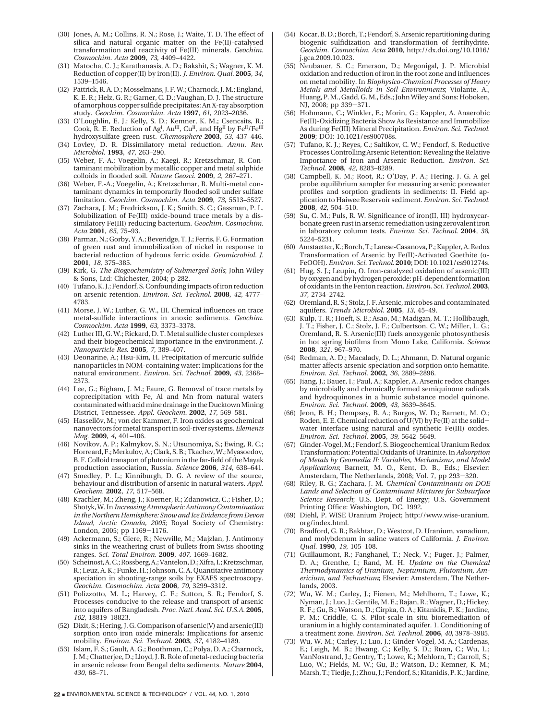- (30) Jones, A. M.; Collins, R. N.; Rose, J.; Waite, T. D. The effect of silica and natural organic matter on the Fe(II)-catalysed transformation and reactivity of Fe(III) minerals. *Geochim. Cosmochim. Acta* **2009**, *73*, 4409–4422.
- (31) Matocha, C. J.; Karathanasis, A. D.; Rakshit, S.; Wagner, K. M. Reduction of copper(II) by iron(II). *J. Environ. Qual.* **2005**, *34*, 1539–1546.
- (32) Pattrick, R. A. D.; Mosselmans, J. F. W.; Charnock, J. M.; England, K. E. R.; Helz, G. R.; Garner, C. D.; Vaughan, D. J. The structure of amorphous copper sulfide precipitates: An X-ray absorption study. *Geochim. Cosmochim. Acta* **1997**, *61*, 2023–2036.
- (33) O'Loughlin, E. J.; Kelly, S. D.; Kemner, K. M.; Csencsits, R.; Cook, R. E. Reduction of Ag<sup>I</sup>, Au<sup>III</sup>, Cu<sup>II</sup>, and Hg<sup>II</sup> by Fe<sup>II</sup>/Fe<sup>III</sup> hydroxysulfate green rust. *Chemosphere* **2003**, *53*, 437–446.
- (34) Lovley, D. R. Dissimilatory metal reduction. *Annu. Rev. Microbiol.* **1993**, *47*, 263–290.
- (35) Weber, F.-A.; Voegelin, A.; Kaegi, R.; Kretzschmar, R. Contaminant mobilization by metallic copper and metal sulphide colloids in flooded soil. *Nature Geosci.* **2009**, *2*, 267–271.
- (36) Weber, F.-A.; Voegelin, A.; Kretzschmar, R. Multi-metal contaminant dynamics in temporarily flooded soil under sulfate limitation. *Geochim. Cosmochim. Acta* **2009**, *73*, 5513–5527.
- (37) Zachara, J. M.; Fredrickson, J. K.; Smith, S. C.; Gassman, P. L. Solubilization of Fe(III) oxide-bound trace metals by a dissimilatory Fe(III) reducing bacterium. *Geochim. Cosmochim. Acta* **2001**, *65*, 75–93.
- (38) Parmar, N.; Gorby, Y. A.; Beveridge, T. J.; Ferris, F. G. Formation of green rust and immobilization of nickel in response to bacterial reduction of hydrous ferric oxide. *Geomicrobiol. J.* **2001**, *18*, 375–385.
- (39) Kirk, G. *The Biogeochemistry of Submerged Soils*; John Wiley & Sons, Ltd: Chichester, 2004; p 282.
- (40) Tufano, K. J.; Fendorf, S. Confounding impacts of iron reduction on arsenic retention. *Environ. Sci. Technol.* **2008**, *42*, 4777– 4783.
- (41) Morse, J. W.; Luther, G. W., III. Chemical influences on trace metal-sulfide interactions in anoxic sediments. *Geochim. Cosmochim. Acta* **1999**, *63*, 3373–3378.
- (42) Luther III, G. W.; Rickard, D. T. Metal sulfide cluster complexes and their biogeochemical importance in the environment. *J. Nanoparticle Res.* **2005**, *7*, 389–407.
- (43) Deonarine, A.; Hsu-Kim, H. Precipitation of mercuric sulfide nanoparticles in NOM-containing water: Implications for the natural environment. *Environ. Sci. Technol.* **2009**, *43*, 2368– 2373.
- (44) Lee, G.; Bigham, J. M.; Faure, G. Removal of trace metals by coprecipitation with Fe, Al and Mn from natural waters contaminated with acid mine drainage in the Ducktown Mining District, Tennessee. *Appl. Geochem.* **2002**, *17*, 569–581.
- (45) Hassellöv, M.; von der Kammer, F. Iron oxides as geochemical nanovectors for metal transport in soil-river systems. *Elements Mag.* **2009**, *4*, 401–406.
- (46) Novikov, A. P.; Kalmykov, S. N.; Utsunomiya, S.; Ewing, R. C.; Horreard, F.; Merkulov, A.; Clark, S. B.; Tkachev, W.; Myasoedov, B. F. Colloid transport of plutonium in the far-field of the Mayak production association, Russia. *Science* **2006**, *314*, 638–641.
- (47) Smedley, P. L.; Kinniburgh, D. G. A review of the source, behaviour and distribution of arsenic in natural waters. *Appl. Geochem.* **2002**, *17*, 517–568.
- (48) Krachler, M.; Zheng, J.; Koerner, R.; Zdanowicz, C.; Fisher, D.; Shotyk, W. In*Increasing Atmospheric Antimony Contamination in the Northern Hemisphere: Snow and Ice Evidence from Devon Island, Arctic Canada, 2005*; Royal Society of Chemistry: London, 2005; pp 1169-1176.
- (49) Ackermann, S.; Giere, R.; Newville, M.; Majzlan, J. Antimony sinks in the weathering crust of bullets from Swiss shooting ranges. *Sci. Total Environ.* **2009**, *407*, 1669–1682.
- (50) Scheinost, A. C.; Rossberg, A.; Vantelon, D.; Xifra, I.; Kretzschmar, R.; Leuz, A. K.; Funke, H.; Johnson, C. A. Quantitative antimony speciation in shooting-range soils by EXAFS spectroscopy. *Geochim. Cosmochim. Acta* **2006**, *70*, 3299–3312.
- (51) Polizzotto, M. L.; Harvey, C. F.; Sutton, S. R.; Fendorf, S. Processes conducive to the release and transport of arsenic into aquifers of Bangladesh. *Proc. Natl. Acad. Sci. U.S.A.* **2005**, *102*, 18819–18823.
- (52) Dixit, S.; Hering, J. G. Comparison of arsenic(V) and arsenic(III) sorption onto iron oxide minerals: Implications for arsenic mobility. *Environ. Sci. Technol.* **2003**, *37*, 4182–4189.
- (53) Islam, F. S.; Gault, A. G.; Boothman, C.; Polya, D. A.; Charnock, J. M.; Chatterjee, D.; Lloyd, J. R. Role of metal-reducing bacteria in arsenic release from Bengal delta sediments. *Nature* **2004**, *430*, 68–71.
- (54) Kocar, B. D.; Borch, T.; Fendorf, S. Arsenic repartitioning during biogenic sulfidization and transformation of ferrihydrite. *Geochim. Cosmochim. Acta* **2010**, http://dx.doi.org/10.1016/ j.gca.2009.10.023.
- (55) Neubauer, S. C.; Emerson, D.; Megonigal, J. P. Microbial oxidation and reduction of iron in the root zone and influences on metal mobility. In *Biophysico-Chemical Processes of Heavy Metals and Metalloids in Soil Environments*; Violante, A., Huang, P. M., Gadd, G. M., Eds.; John Wiley and Sons: Hoboken, NJ, 2008; pp 339-371.
- (56) Hohmann, C.; Winkler, E.; Morin, G.; Kappler, A. Anaerobic Fe(II)-Oxidizing Bacteria Show As Resistance and Immobilize As during Fe(III) Mineral Precipitation. *Environ. Sci. Technol.* **2009**; DOI: 10.1021/es900708s.
- (57) Tufano, K. J.; Reyes, C.; Saltikov, C. W.; Fendorf, S. Reductive Processes Controlling Arsenic Retention: Revealing the Relative Importance of Iron and Arsenic Reduction. *Environ. Sci. Technol.* **2008**, *42*, 8283–8289.
- (58) Campbell, K. M.; Root, R.; O'Day, P. A.; Hering, J. G. A gel probe equilibrium sampler for measuring arsenic porewater profiles and sorption gradients in sediments: II. Field application to Haiwee Reservoir sediment. *Environ. Sci. Technol.* **2008**, *42*, 504–510.
- (59) Su, C. M.; Puls, R. W. Significance of iron(II, III) hydroxycarbonate green rust in arsenic remediation using zerovalent iron in laboratory column tests. *Environ. Sci. Technol.* **2004**, *38*, 5224–5231.
- (60) Amstaetter, K.; Borch, T.; Larese-Casanova, P.; Kappler, A. Redox Transformation of Arsenic by Fe(II)-Activated Goethite ( $\alpha$ -FeOOH). *Environ. Sci. Technol.* **2010**; DOI: 10.1021/es901274s.
- (61) Hug, S. J.; Leupin, O. Iron-catalyzed oxidation of arsenic(III) by oxygen and by hydrogen peroxide: pH-dependent formation of oxidants in the Fenton reaction. *Environ. Sci. Technol.* **2003**, *37*, 2734–2742.
- (62) Oremland, R. S.; Stolz, J. F. Arsenic, microbes and contaminated aquifers. *Trends Microbiol.* **2005**, *13*, 45–49.
- (63) Kulp, T. R.; Hoeft, S. E.; Asao, M.; Madigan, M. T.; Hollibaugh, J. T.; Fisher, J. C.; Stolz, J. F.; Culbertson, C. W.; Miller, L. G.; Oremland, R. S. Arsenic(III) fuels anoxygenic photosynthesis in hot spring biofilms from Mono Lake, California. *Science* **2008**, *321*, 967–970.
- (64) Redman, A. D.; Macalady, D. L.; Ahmann, D. Natural organic matter affects arsenic speciation and sorption onto hematite. *Environ. Sci. Technol.* **2002**, *36*, 2889–2896.
- (65) Jiang, J.; Bauer, I.; Paul, A.; Kappler, A. Arsenic redox changes by microbially and chemically formed semiquinone radicals and hydroquinones in a humic substance model quinone. *Environ. Sci. Technol.* **2009**, *43*, 3639–3645.
- (66) Jeon, B. H.; Dempsey, B. A.; Burgos, W. D.; Barnett, M. O.; Roden, E. E. Chemical reduction of  $U(VI)$  by Fe(II) at the solidwater interface using natural and synthetic Fe(III) oxides. *Environ. Sci. Technol.* **2005**, *39*, 5642–5649.
- (67) Ginder-Vogel, M.; Fendorf, S. Biogeochemical Uranium Redox Transformation: Potential Oxidants of Uraninite. In*Adsorption of Metals by Geomedia II: Variables, Mechanisms, and Model Applications*; Barnett, M. O., Kent, D. B., Eds.; Elsevier: Amsterdam, The Netherlands, 2008; Vol. 7, pp 293-320.
- (68) Riley, R. G.; Zachara, J. M. *Chemical Contaminants on DOE Lands and Selection of Contaminant Mixtures for Subsurface Science Research*; U.S. Dept. of Energy; U.S. Government Printing Office: Washington, DC, 1992.
- (69) Diehl, P. WISE Uranium Project; http://www.wise-uranium. org/index.html.
- (70) Bradford, G. R.; Bakhtar, D.; Westcot, D. Uranium, vanadium, and molybdenum in saline waters of California. *J. Environ. Qual.* **1990**, *19*, 105–108.
- (71) Guillaumont, R.; Fanghanel, T.; Neck, V.; Fuger, J.; Palmer, D. A.; Grenthe, I.; Rand, M. H. *Update on the Chemical Thermodynamics of Uranium, Neptumium, Plutonium, Americium, and Technetium*; Elsevier: Amsterdam, The Netherlands, 2003.
- (72) Wu, W. M.; Carley, J.; Fienen, M.; Mehlhorn, T.; Lowe, K.; Nyman, J.; Luo, J.; Gentile, M. E.; Rajan, R.; Wagner, D.; Hickey, R. F.; Gu, B.; Watson, D.; Cirpka, O. A.; Kitanidis, P. K.; Jardine, P. M.; Criddle, C. S. Pilot-scale in situ bioremediation of uranium in a highly contaminated aquifer. 1. Conditioning of a treatment zone. *Environ. Sci. Technol.* **2006**, *40*, 3978–3985.
- (73) Wu, W. M.; Carley, J.; Luo, J.; Ginder-Vogel, M. A.; Cardenas, E.; Leigh, M. B.; Hwang, C.; Kelly, S. D.; Ruan, C.; Wu, L.; VanNostrand, J.; Gentry, T.; Lowe, K.; Mehlorn, T.; Carroll, S.; Luo, W.; Fields, M. W.; Gu, B.; Watson, D.; Kemner, K. M.; Marsh, T.; Tiedje, J.; Zhou, J.; Fendorf, S.; Kitanidis, P. K.; Jardine,